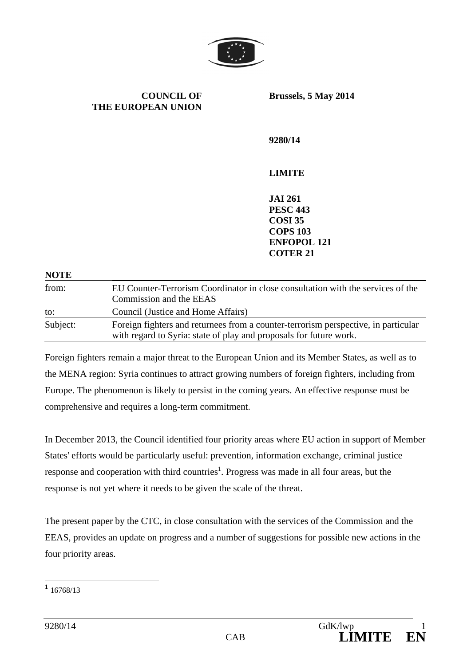

**COUNCIL OF THE EUROPEAN UNION**  **Brussels, 5 May 2014** 

**9280/14** 

# **LIMITE**

**JAI 261 PESC 443 COSI 35 COPS 103 ENFOPOL 121 COTER 21** 

| <b>NOTE</b> |                                                                                                                                                          |
|-------------|----------------------------------------------------------------------------------------------------------------------------------------------------------|
| from:       | EU Counter-Terrorism Coordinator in close consultation with the services of the<br>Commission and the EEAS                                               |
| to:         | Council (Justice and Home Affairs)                                                                                                                       |
| Subject:    | Foreign fighters and returnees from a counter-terrorism perspective, in particular<br>with regard to Syria: state of play and proposals for future work. |

Foreign fighters remain a major threat to the European Union and its Member States, as well as to the MENA region: Syria continues to attract growing numbers of foreign fighters, including from Europe. The phenomenon is likely to persist in the coming years. An effective response must be comprehensive and requires a long-term commitment.

In December 2013, the Council identified four priority areas where EU action in support of Member States' efforts would be particularly useful: prevention, information exchange, criminal justice response and cooperation with third countries<sup>1</sup>. Progress was made in all four areas, but the response is not yet where it needs to be given the scale of the threat.

The present paper by the CTC, in close consultation with the services of the Commission and the EEAS, provides an update on progress and a number of suggestions for possible new actions in the four priority areas.

**<sup>1</sup>** 16768/13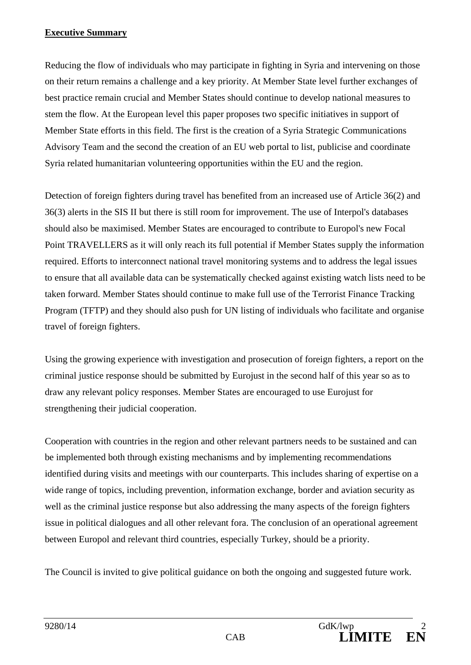#### **Executive Summary**

Reducing the flow of individuals who may participate in fighting in Syria and intervening on those on their return remains a challenge and a key priority. At Member State level further exchanges of best practice remain crucial and Member States should continue to develop national measures to stem the flow. At the European level this paper proposes two specific initiatives in support of Member State efforts in this field. The first is the creation of a Syria Strategic Communications Advisory Team and the second the creation of an EU web portal to list, publicise and coordinate Syria related humanitarian volunteering opportunities within the EU and the region.

Detection of foreign fighters during travel has benefited from an increased use of Article 36(2) and 36(3) alerts in the SIS II but there is still room for improvement. The use of Interpol's databases should also be maximised. Member States are encouraged to contribute to Europol's new Focal Point TRAVELLERS as it will only reach its full potential if Member States supply the information required. Efforts to interconnect national travel monitoring systems and to address the legal issues to ensure that all available data can be systematically checked against existing watch lists need to be taken forward. Member States should continue to make full use of the Terrorist Finance Tracking Program (TFTP) and they should also push for UN listing of individuals who facilitate and organise travel of foreign fighters.

Using the growing experience with investigation and prosecution of foreign fighters, a report on the criminal justice response should be submitted by Eurojust in the second half of this year so as to draw any relevant policy responses. Member States are encouraged to use Eurojust for strengthening their judicial cooperation.

Cooperation with countries in the region and other relevant partners needs to be sustained and can be implemented both through existing mechanisms and by implementing recommendations identified during visits and meetings with our counterparts. This includes sharing of expertise on a wide range of topics, including prevention, information exchange, border and aviation security as well as the criminal justice response but also addressing the many aspects of the foreign fighters issue in political dialogues and all other relevant fora. The conclusion of an operational agreement between Europol and relevant third countries, especially Turkey, should be a priority.

The Council is invited to give political guidance on both the ongoing and suggested future work.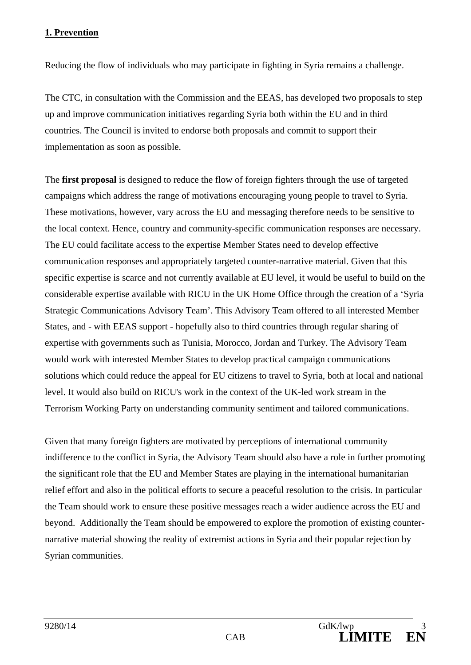## **1. Prevention**

Reducing the flow of individuals who may participate in fighting in Syria remains a challenge.

The CTC, in consultation with the Commission and the EEAS, has developed two proposals to step up and improve communication initiatives regarding Syria both within the EU and in third countries. The Council is invited to endorse both proposals and commit to support their implementation as soon as possible.

The **first proposal** is designed to reduce the flow of foreign fighters through the use of targeted campaigns which address the range of motivations encouraging young people to travel to Syria. These motivations, however, vary across the EU and messaging therefore needs to be sensitive to the local context. Hence, country and community-specific communication responses are necessary. The EU could facilitate access to the expertise Member States need to develop effective communication responses and appropriately targeted counter-narrative material. Given that this specific expertise is scarce and not currently available at EU level, it would be useful to build on the considerable expertise available with RICU in the UK Home Office through the creation of a 'Syria Strategic Communications Advisory Team'. This Advisory Team offered to all interested Member States, and - with EEAS support - hopefully also to third countries through regular sharing of expertise with governments such as Tunisia, Morocco, Jordan and Turkey. The Advisory Team would work with interested Member States to develop practical campaign communications solutions which could reduce the appeal for EU citizens to travel to Syria, both at local and national level. It would also build on RICU's work in the context of the UK-led work stream in the Terrorism Working Party on understanding community sentiment and tailored communications.

Given that many foreign fighters are motivated by perceptions of international community indifference to the conflict in Syria, the Advisory Team should also have a role in further promoting the significant role that the EU and Member States are playing in the international humanitarian relief effort and also in the political efforts to secure a peaceful resolution to the crisis. In particular the Team should work to ensure these positive messages reach a wider audience across the EU and beyond. Additionally the Team should be empowered to explore the promotion of existing counternarrative material showing the reality of extremist actions in Syria and their popular rejection by Syrian communities.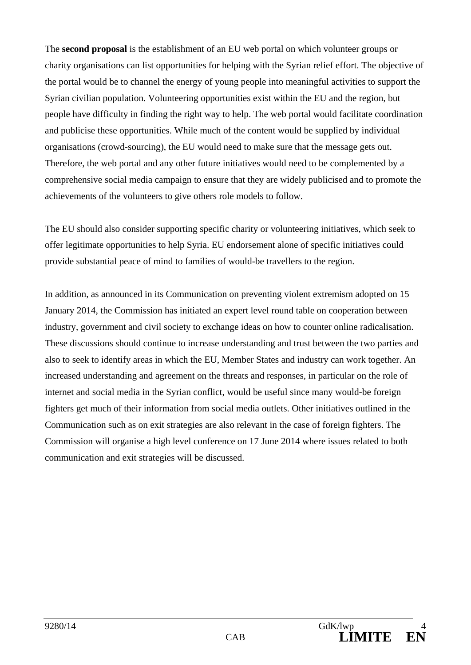The **second proposal** is the establishment of an EU web portal on which volunteer groups or charity organisations can list opportunities for helping with the Syrian relief effort. The objective of the portal would be to channel the energy of young people into meaningful activities to support the Syrian civilian population. Volunteering opportunities exist within the EU and the region, but people have difficulty in finding the right way to help. The web portal would facilitate coordination and publicise these opportunities. While much of the content would be supplied by individual organisations (crowd-sourcing), the EU would need to make sure that the message gets out. Therefore, the web portal and any other future initiatives would need to be complemented by a comprehensive social media campaign to ensure that they are widely publicised and to promote the achievements of the volunteers to give others role models to follow.

The EU should also consider supporting specific charity or volunteering initiatives, which seek to offer legitimate opportunities to help Syria. EU endorsement alone of specific initiatives could provide substantial peace of mind to families of would-be travellers to the region.

In addition, as announced in its Communication on preventing violent extremism adopted on 15 January 2014, the Commission has initiated an expert level round table on cooperation between industry, government and civil society to exchange ideas on how to counter online radicalisation. These discussions should continue to increase understanding and trust between the two parties and also to seek to identify areas in which the EU, Member States and industry can work together. An increased understanding and agreement on the threats and responses, in particular on the role of internet and social media in the Syrian conflict, would be useful since many would-be foreign fighters get much of their information from social media outlets. Other initiatives outlined in the Communication such as on exit strategies are also relevant in the case of foreign fighters. The Commission will organise a high level conference on 17 June 2014 where issues related to both communication and exit strategies will be discussed.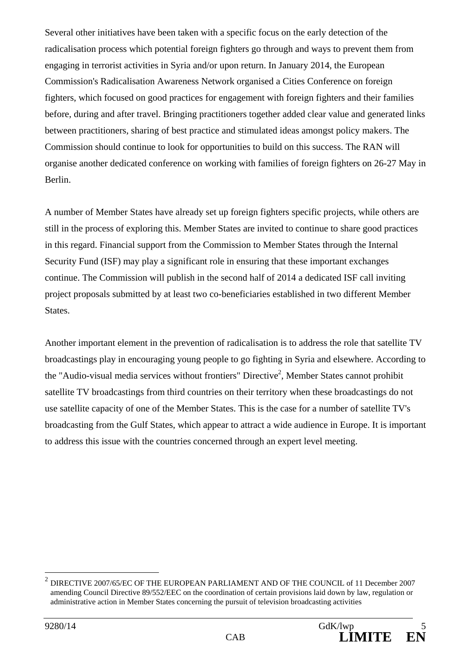Several other initiatives have been taken with a specific focus on the early detection of the radicalisation process which potential foreign fighters go through and ways to prevent them from engaging in terrorist activities in Syria and/or upon return. In January 2014, the European Commission's Radicalisation Awareness Network organised a Cities Conference on foreign fighters, which focused on good practices for engagement with foreign fighters and their families before, during and after travel. Bringing practitioners together added clear value and generated links between practitioners, sharing of best practice and stimulated ideas amongst policy makers. The Commission should continue to look for opportunities to build on this success. The RAN will organise another dedicated conference on working with families of foreign fighters on 26-27 May in Berlin.

A number of Member States have already set up foreign fighters specific projects, while others are still in the process of exploring this. Member States are invited to continue to share good practices in this regard. Financial support from the Commission to Member States through the Internal Security Fund (ISF) may play a significant role in ensuring that these important exchanges continue. The Commission will publish in the second half of 2014 a dedicated ISF call inviting project proposals submitted by at least two co-beneficiaries established in two different Member States.

Another important element in the prevention of radicalisation is to address the role that satellite TV broadcastings play in encouraging young people to go fighting in Syria and elsewhere. According to the "Audio-visual media services without frontiers" Directive<sup>2</sup>, Member States cannot prohibit satellite TV broadcastings from third countries on their territory when these broadcastings do not use satellite capacity of one of the Member States. This is the case for a number of satellite TV's broadcasting from the Gulf States, which appear to attract a wide audience in Europe. It is important to address this issue with the countries concerned through an expert level meeting.

 $^2$  DIRECTIVE 2007/65/EC OF THE EUROPEAN PARLIAMENT AND OF THE COUNCIL of 11 December 2007 amending Council Directive 89/552/EEC on the coordination of certain provisions laid down by law, regulation or administrative action in Member States concerning the pursuit of television broadcasting activities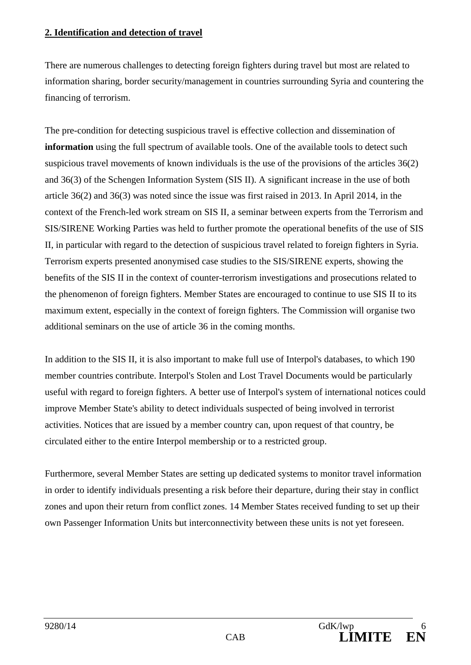#### **2. Identification and detection of travel**

There are numerous challenges to detecting foreign fighters during travel but most are related to information sharing, border security/management in countries surrounding Syria and countering the financing of terrorism.

The pre-condition for detecting suspicious travel is effective collection and dissemination of **information** using the full spectrum of available tools. One of the available tools to detect such suspicious travel movements of known individuals is the use of the provisions of the articles 36(2) and 36(3) of the Schengen Information System (SIS II). A significant increase in the use of both article 36(2) and 36(3) was noted since the issue was first raised in 2013. In April 2014, in the context of the French-led work stream on SIS II, a seminar between experts from the Terrorism and SIS/SIRENE Working Parties was held to further promote the operational benefits of the use of SIS II, in particular with regard to the detection of suspicious travel related to foreign fighters in Syria. Terrorism experts presented anonymised case studies to the SIS/SIRENE experts, showing the benefits of the SIS II in the context of counter-terrorism investigations and prosecutions related to the phenomenon of foreign fighters. Member States are encouraged to continue to use SIS II to its maximum extent, especially in the context of foreign fighters. The Commission will organise two additional seminars on the use of article 36 in the coming months.

In addition to the SIS II, it is also important to make full use of Interpol's databases, to which 190 member countries contribute. Interpol's Stolen and Lost Travel Documents would be particularly useful with regard to foreign fighters. A better use of Interpol's system of international notices could improve Member State's ability to detect individuals suspected of being involved in terrorist activities. Notices that are issued by a member country can, upon request of that country, be circulated either to the entire Interpol membership or to a restricted group.

Furthermore, several Member States are setting up dedicated systems to monitor travel information in order to identify individuals presenting a risk before their departure, during their stay in conflict zones and upon their return from conflict zones. 14 Member States received funding to set up their own Passenger Information Units but interconnectivity between these units is not yet foreseen.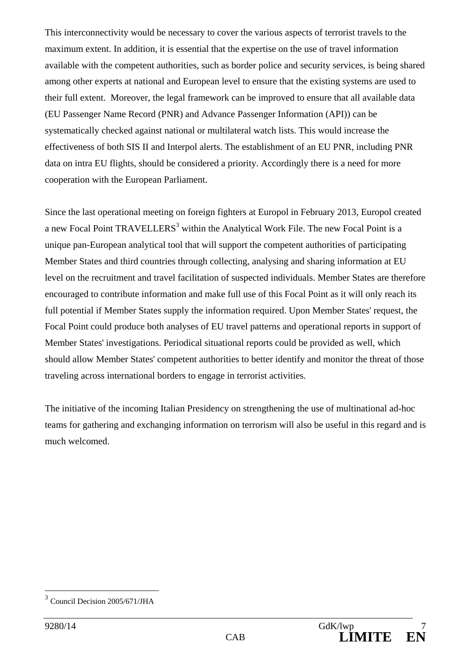This interconnectivity would be necessary to cover the various aspects of terrorist travels to the maximum extent. In addition, it is essential that the expertise on the use of travel information available with the competent authorities, such as border police and security services, is being shared among other experts at national and European level to ensure that the existing systems are used to their full extent. Moreover, the legal framework can be improved to ensure that all available data (EU Passenger Name Record (PNR) and Advance Passenger Information (API)) can be systematically checked against national or multilateral watch lists. This would increase the effectiveness of both SIS II and Interpol alerts. The establishment of an EU PNR, including PNR data on intra EU flights, should be considered a priority. Accordingly there is a need for more cooperation with the European Parliament.

Since the last operational meeting on foreign fighters at Europol in February 2013, Europol created a new Focal Point TRAVELLERS<sup>3</sup> within the Analytical Work File. The new Focal Point is a unique pan-European analytical tool that will support the competent authorities of participating Member States and third countries through collecting, analysing and sharing information at EU level on the recruitment and travel facilitation of suspected individuals. Member States are therefore encouraged to contribute information and make full use of this Focal Point as it will only reach its full potential if Member States supply the information required. Upon Member States' request, the Focal Point could produce both analyses of EU travel patterns and operational reports in support of Member States' investigations. Periodical situational reports could be provided as well, which should allow Member States' competent authorities to better identify and monitor the threat of those traveling across international borders to engage in terrorist activities.

The initiative of the incoming Italian Presidency on strengthening the use of multinational ad-hoc teams for gathering and exchanging information on terrorism will also be useful in this regard and is much welcomed.

<sup>3</sup> Council Decision 2005/671/JHA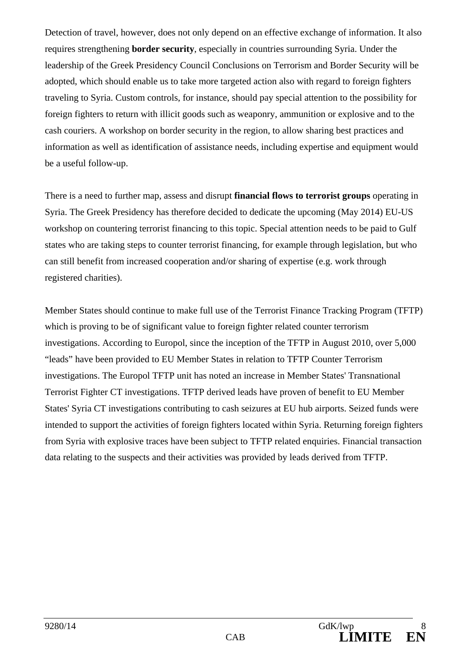Detection of travel, however, does not only depend on an effective exchange of information. It also requires strengthening **border security**, especially in countries surrounding Syria. Under the leadership of the Greek Presidency Council Conclusions on Terrorism and Border Security will be adopted, which should enable us to take more targeted action also with regard to foreign fighters traveling to Syria. Custom controls, for instance, should pay special attention to the possibility for foreign fighters to return with illicit goods such as weaponry, ammunition or explosive and to the cash couriers. A workshop on border security in the region, to allow sharing best practices and information as well as identification of assistance needs, including expertise and equipment would be a useful follow-up.

There is a need to further map, assess and disrupt **financial flows to terrorist groups** operating in Syria. The Greek Presidency has therefore decided to dedicate the upcoming (May 2014) EU-US workshop on countering terrorist financing to this topic. Special attention needs to be paid to Gulf states who are taking steps to counter terrorist financing, for example through legislation, but who can still benefit from increased cooperation and/or sharing of expertise (e.g. work through registered charities).

Member States should continue to make full use of the Terrorist Finance Tracking Program (TFTP) which is proving to be of significant value to foreign fighter related counter terrorism investigations. According to Europol, since the inception of the TFTP in August 2010, over 5,000 "leads" have been provided to EU Member States in relation to TFTP Counter Terrorism investigations. The Europol TFTP unit has noted an increase in Member States' Transnational Terrorist Fighter CT investigations. TFTP derived leads have proven of benefit to EU Member States' Syria CT investigations contributing to cash seizures at EU hub airports. Seized funds were intended to support the activities of foreign fighters located within Syria. Returning foreign fighters from Syria with explosive traces have been subject to TFTP related enquiries. Financial transaction data relating to the suspects and their activities was provided by leads derived from TFTP.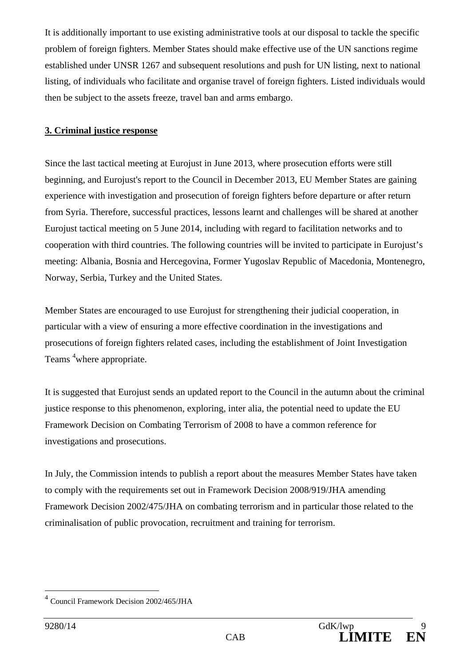It is additionally important to use existing administrative tools at our disposal to tackle the specific problem of foreign fighters. Member States should make effective use of the UN sanctions regime established under UNSR 1267 and subsequent resolutions and push for UN listing, next to national listing, of individuals who facilitate and organise travel of foreign fighters. Listed individuals would then be subject to the assets freeze, travel ban and arms embargo.

# **3. Criminal justice response**

Since the last tactical meeting at Eurojust in June 2013, where prosecution efforts were still beginning, and Eurojust's report to the Council in December 2013, EU Member States are gaining experience with investigation and prosecution of foreign fighters before departure or after return from Syria. Therefore, successful practices, lessons learnt and challenges will be shared at another Eurojust tactical meeting on 5 June 2014, including with regard to facilitation networks and to cooperation with third countries. The following countries will be invited to participate in Eurojust's meeting: Albania, Bosnia and Hercegovina, Former Yugoslav Republic of Macedonia, Montenegro, Norway, Serbia, Turkey and the United States.

Member States are encouraged to use Eurojust for strengthening their judicial cooperation, in particular with a view of ensuring a more effective coordination in the investigations and prosecutions of foreign fighters related cases, including the establishment of Joint Investigation Teams <sup>4</sup> where appropriate.

It is suggested that Eurojust sends an updated report to the Council in the autumn about the criminal justice response to this phenomenon, exploring, inter alia, the potential need to update the EU Framework Decision on Combating Terrorism of 2008 to have a common reference for investigations and prosecutions.

In July, the Commission intends to publish a report about the measures Member States have taken to comply with the requirements set out in Framework Decision 2008/919/JHA amending Framework Decision 2002/475/JHA on combating terrorism and in particular those related to the criminalisation of public provocation, recruitment and training for terrorism.

<sup>4</sup> Council Framework Decision 2002/465/JHA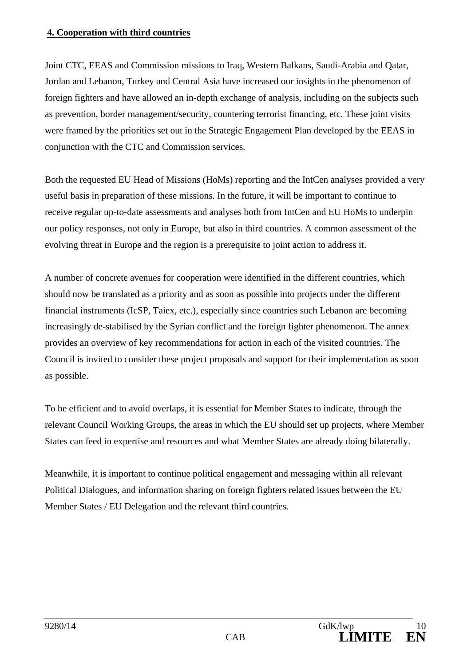## **4. Cooperation with third countries**

Joint CTC, EEAS and Commission missions to Iraq, Western Balkans, Saudi-Arabia and Qatar, Jordan and Lebanon, Turkey and Central Asia have increased our insights in the phenomenon of foreign fighters and have allowed an in-depth exchange of analysis, including on the subjects such as prevention, border management/security, countering terrorist financing, etc. These joint visits were framed by the priorities set out in the Strategic Engagement Plan developed by the EEAS in conjunction with the CTC and Commission services.

Both the requested EU Head of Missions (HoMs) reporting and the IntCen analyses provided a very useful basis in preparation of these missions. In the future, it will be important to continue to receive regular up-to-date assessments and analyses both from IntCen and EU HoMs to underpin our policy responses, not only in Europe, but also in third countries. A common assessment of the evolving threat in Europe and the region is a prerequisite to joint action to address it.

A number of concrete avenues for cooperation were identified in the different countries, which should now be translated as a priority and as soon as possible into projects under the different financial instruments (IcSP, Taiex, etc.), especially since countries such Lebanon are becoming increasingly de-stabilised by the Syrian conflict and the foreign fighter phenomenon. The annex provides an overview of key recommendations for action in each of the visited countries. The Council is invited to consider these project proposals and support for their implementation as soon as possible.

To be efficient and to avoid overlaps, it is essential for Member States to indicate, through the relevant Council Working Groups, the areas in which the EU should set up projects, where Member States can feed in expertise and resources and what Member States are already doing bilaterally.

Meanwhile, it is important to continue political engagement and messaging within all relevant Political Dialogues, and information sharing on foreign fighters related issues between the EU Member States / EU Delegation and the relevant third countries.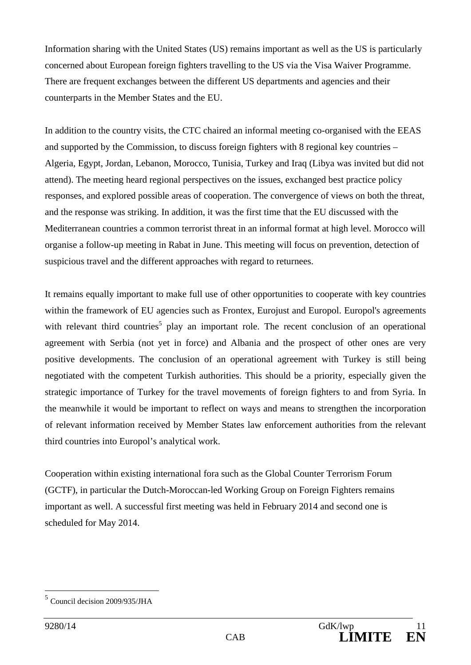Information sharing with the United States (US) remains important as well as the US is particularly concerned about European foreign fighters travelling to the US via the Visa Waiver Programme. There are frequent exchanges between the different US departments and agencies and their counterparts in the Member States and the EU.

In addition to the country visits, the CTC chaired an informal meeting co-organised with the EEAS and supported by the Commission, to discuss foreign fighters with 8 regional key countries – Algeria, Egypt, Jordan, Lebanon, Morocco, Tunisia, Turkey and Iraq (Libya was invited but did not attend). The meeting heard regional perspectives on the issues, exchanged best practice policy responses, and explored possible areas of cooperation. The convergence of views on both the threat, and the response was striking. In addition, it was the first time that the EU discussed with the Mediterranean countries a common terrorist threat in an informal format at high level. Morocco will organise a follow-up meeting in Rabat in June. This meeting will focus on prevention, detection of suspicious travel and the different approaches with regard to returnees.

It remains equally important to make full use of other opportunities to cooperate with key countries within the framework of EU agencies such as Frontex, Eurojust and Europol. Europol's agreements with relevant third countries<sup>5</sup> play an important role. The recent conclusion of an operational agreement with Serbia (not yet in force) and Albania and the prospect of other ones are very positive developments. The conclusion of an operational agreement with Turkey is still being negotiated with the competent Turkish authorities. This should be a priority, especially given the strategic importance of Turkey for the travel movements of foreign fighters to and from Syria. In the meanwhile it would be important to reflect on ways and means to strengthen the incorporation of relevant information received by Member States law enforcement authorities from the relevant third countries into Europol's analytical work.

Cooperation within existing international fora such as the Global Counter Terrorism Forum (GCTF), in particular the Dutch-Moroccan-led Working Group on Foreign Fighters remains important as well. A successful first meeting was held in February 2014 and second one is scheduled for May 2014.

<sup>5</sup> Council decision 2009/935/JHA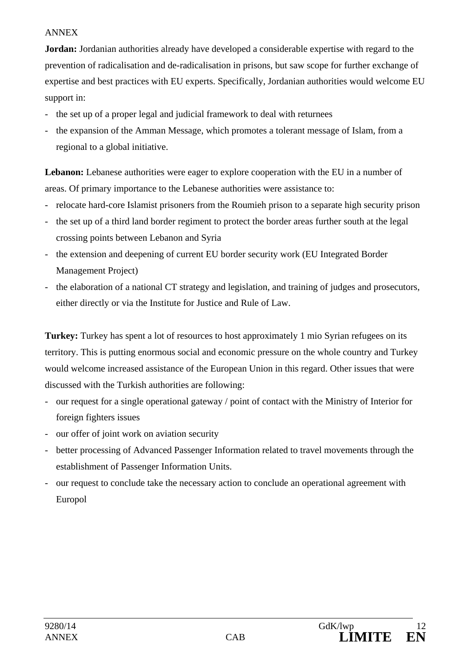#### ANNEX

**Jordan:** Jordanian authorities already have developed a considerable expertise with regard to the prevention of radicalisation and de-radicalisation in prisons, but saw scope for further exchange of expertise and best practices with EU experts. Specifically, Jordanian authorities would welcome EU support in:

- the set up of a proper legal and judicial framework to deal with returnees
- the expansion of the Amman Message, which promotes a tolerant message of Islam, from a regional to a global initiative.

Lebanon: Lebanese authorities were eager to explore cooperation with the EU in a number of areas. Of primary importance to the Lebanese authorities were assistance to:

- relocate hard-core Islamist prisoners from the Roumieh prison to a separate high security prison
- the set up of a third land border regiment to protect the border areas further south at the legal crossing points between Lebanon and Syria
- the extension and deepening of current EU border security work (EU Integrated Border Management Project)
- the elaboration of a national CT strategy and legislation, and training of judges and prosecutors, either directly or via the Institute for Justice and Rule of Law.

**Turkey:** Turkey has spent a lot of resources to host approximately 1 mio Syrian refugees on its territory. This is putting enormous social and economic pressure on the whole country and Turkey would welcome increased assistance of the European Union in this regard. Other issues that were discussed with the Turkish authorities are following:

- our request for a single operational gateway / point of contact with the Ministry of Interior for foreign fighters issues
- our offer of joint work on aviation security
- better processing of Advanced Passenger Information related to travel movements through the establishment of Passenger Information Units.
- our request to conclude take the necessary action to conclude an operational agreement with Europol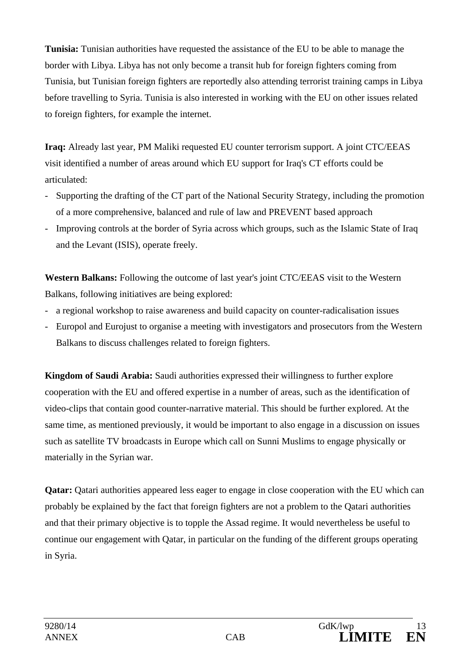**Tunisia:** Tunisian authorities have requested the assistance of the EU to be able to manage the border with Libya. Libya has not only become a transit hub for foreign fighters coming from Tunisia, but Tunisian foreign fighters are reportedly also attending terrorist training camps in Libya before travelling to Syria. Tunisia is also interested in working with the EU on other issues related to foreign fighters, for example the internet.

**Iraq:** Already last year, PM Maliki requested EU counter terrorism support. A joint CTC/EEAS visit identified a number of areas around which EU support for Iraq's CT efforts could be articulated:

- Supporting the drafting of the CT part of the National Security Strategy, including the promotion of a more comprehensive, balanced and rule of law and PREVENT based approach
- Improving controls at the border of Syria across which groups, such as the Islamic State of Iraq and the Levant (ISIS), operate freely.

**Western Balkans:** Following the outcome of last year's joint CTC/EEAS visit to the Western Balkans, following initiatives are being explored:

- a regional workshop to raise awareness and build capacity on counter-radicalisation issues
- Europol and Eurojust to organise a meeting with investigators and prosecutors from the Western Balkans to discuss challenges related to foreign fighters.

**Kingdom of Saudi Arabia:** Saudi authorities expressed their willingness to further explore cooperation with the EU and offered expertise in a number of areas, such as the identification of video-clips that contain good counter-narrative material. This should be further explored. At the same time, as mentioned previously, it would be important to also engage in a discussion on issues such as satellite TV broadcasts in Europe which call on Sunni Muslims to engage physically or materially in the Syrian war.

**Qatar:** Qatari authorities appeared less eager to engage in close cooperation with the EU which can probably be explained by the fact that foreign fighters are not a problem to the Qatari authorities and that their primary objective is to topple the Assad regime. It would nevertheless be useful to continue our engagement with Qatar, in particular on the funding of the different groups operating in Syria.